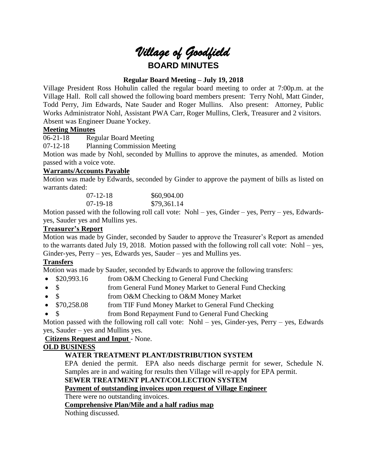

## **Regular Board Meeting – July 19, 2018**

Village President Ross Hohulin called the regular board meeting to order at 7:00p.m. at the Village Hall. Roll call showed the following board members present: Terry Nohl, Matt Ginder, Todd Perry, Jim Edwards, Nate Sauder and Roger Mullins. Also present: Attorney, Public Works Administrator Nohl, Assistant PWA Carr, Roger Mullins, Clerk, Treasurer and 2 visitors. Absent was Engineer Duane Yockey.

### **Meeting Minutes**

06-21-18 Regular Board Meeting

07-12-18 Planning Commission Meeting

Motion was made by Nohl, seconded by Mullins to approve the minutes, as amended. Motion passed with a voice vote.

### **Warrants/Accounts Payable**

Motion was made by Edwards, seconded by Ginder to approve the payment of bills as listed on warrants dated:

| $07 - 12 - 18$ | \$60,904.00 |
|----------------|-------------|
| $07-19-18$     | \$79,361.14 |

Motion passed with the following roll call vote: Nohl – yes, Ginder – yes, Perry – yes, Edwardsyes, Sauder yes and Mullins yes.

# **Treasurer's Report**

Motion was made by Ginder, seconded by Sauder to approve the Treasurer's Report as amended to the warrants dated July 19, 2018. Motion passed with the following roll call vote: Nohl – yes, Ginder-yes, Perry – yes, Edwards yes, Sauder – yes and Mullins yes.

# **Transfers**

Motion was made by Sauder, seconded by Edwards to approve the following transfers:

- \$20,993.16 from O&M Checking to General Fund Checking
- \$ from General Fund Money Market to General Fund Checking
- \$ from O&M Checking to O&M Money Market
- \$70,258.08 from TIF Fund Money Market to General Fund Checking
- \$ from Bond Repayment Fund to General Fund Checking

Motion passed with the following roll call vote: Nohl – yes, Ginder-yes, Perry – yes, Edwards yes, Sauder – yes and Mullins yes.

### **Citizens Request and Input** - None.

### **OLD BUSINESS**

# **WATER TREATMENT PLANT/DISTRIBUTION SYSTEM**

EPA denied the permit. EPA also needs discharge permit for sewer, Schedule N. Samples are in and waiting for results then Village will re-apply for EPA permit.

### **SEWER TREATMENT PLANT/COLLECTION SYSTEM**

**Payment of outstanding invoices upon request of Village Engineer**

There were no outstanding invoices.

### **Comprehensive Plan/Mile and a half radius map**

Nothing discussed.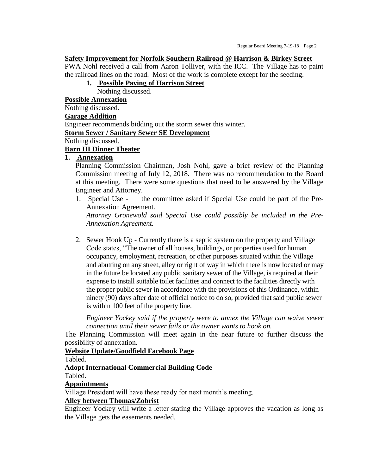#### **Safety Improvement for Norfolk Southern Railroad @ Harrison & Birkey Street**

PWA Nohl received a call from Aaron Tolliver, with the ICC. The Village has to paint the railroad lines on the road. Most of the work is complete except for the seeding.

## **1. Possible Paving of Harrison Street**

Nothing discussed.

**Possible Annexation**

Nothing discussed.

#### **Garage Addition**

Engineer recommends bidding out the storm sewer this winter.

# **Storm Sewer / Sanitary Sewer SE Development**

Nothing discussed.

## **Barn III Dinner Theater**

### **1. Annexation**

Planning Commission Chairman, Josh Nohl, gave a brief review of the Planning Commission meeting of July 12, 2018. There was no recommendation to the Board at this meeting. There were some questions that need to be answered by the Village Engineer and Attorney.

1. Special Use - the committee asked if Special Use could be part of the Pre-Annexation Agreement. *Attorney Gronewold said Special Use could possibly be included in the Pre-*

*Annexation Agreement.*

2. Sewer Hook Up - Currently there is a septic system on the property and Village Code states, "The owner of all houses, buildings, or properties used for human occupancy, employment, recreation, or other purposes situated within the Village and abutting on any street, alley or right of way in which there is now located or may in the future be located any public sanitary sewer of the Village, is required at their expense to install suitable toilet facilities and connect to the facilities directly with the proper public sewer in accordance with the provisions of this Ordinance, within ninety (90) days after date of official notice to do so, provided that said public sewer is within 100 feet of the property line.

*Engineer Yockey said if the property were to annex the Village can waive sewer connection until their sewer fails or the owner wants to hook on.*

The Planning Commission will meet again in the near future to further discuss the possibility of annexation.

### **Website Update/Goodfield Facebook Page**

Tabled.

### **Adopt International Commercial Building Code**

Tabled.

### **Appointments**

Village President will have these ready for next month's meeting.

### **Alley between Thomas/Zobrist**

Engineer Yockey will write a letter stating the Village approves the vacation as long as the Village gets the easements needed.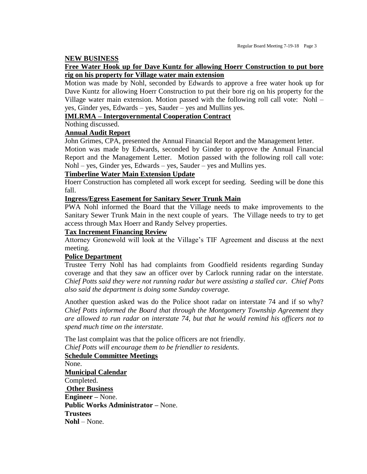#### **NEW BUSINESS**

### **Free Water Hook up for Dave Kuntz for allowing Hoerr Construction to put bore rig on his property for Village water main extension**

Motion was made by Nohl, seconded by Edwards to approve a free water hook up for Dave Kuntz for allowing Hoerr Construction to put their bore rig on his property for the Village water main extension. Motion passed with the following roll call vote: Nohl – yes, Ginder yes, Edwards – yes, Sauder – yes and Mullins yes.

### **IMLRMA – Intergovernmental Cooperation Contract**

Nothing discussed.

## **Annual Audit Report**

John Grimes, CPA, presented the Annual Financial Report and the Management letter.

Motion was made by Edwards, seconded by Ginder to approve the Annual Financial Report and the Management Letter. Motion passed with the following roll call vote: Nohl – yes, Ginder yes, Edwards – yes, Sauder – yes and Mullins yes.

### **Timberline Water Main Extension Update**

Hoerr Construction has completed all work except for seeding. Seeding will be done this fall.

#### **Ingress/Egress Easement for Sanitary Sewer Trunk Main**

PWA Nohl informed the Board that the Village needs to make improvements to the Sanitary Sewer Trunk Main in the next couple of years. The Village needs to try to get access through Max Hoerr and Randy Selvey properties.

### **Tax Increment Financing Review**

Attorney Gronewold will look at the Village's TIF Agreement and discuss at the next meeting.

### **Police Department**

Trustee Terry Nohl has had complaints from Goodfield residents regarding Sunday coverage and that they saw an officer over by Carlock running radar on the interstate. *Chief Potts said they were not running radar but were assisting a stalled car. Chief Potts also said the department is doing some Sunday coverage.*

Another question asked was do the Police shoot radar on interstate 74 and if so why? *Chief Potts informed the Board that through the Montgomery Township Agreement they are allowed to run radar on interstate 74, but that he would remind his officers not to spend much time on the interstate.* 

The last complaint was that the police officers are not friendly. *Chief Potts will encourage them to be friendlier to residents.*

**Schedule Committee Meetings** None. **Municipal Calendar** Completed. **Other Business Engineer –** None. **Public Works Administrator –** None. **Trustees Nohl** – None.